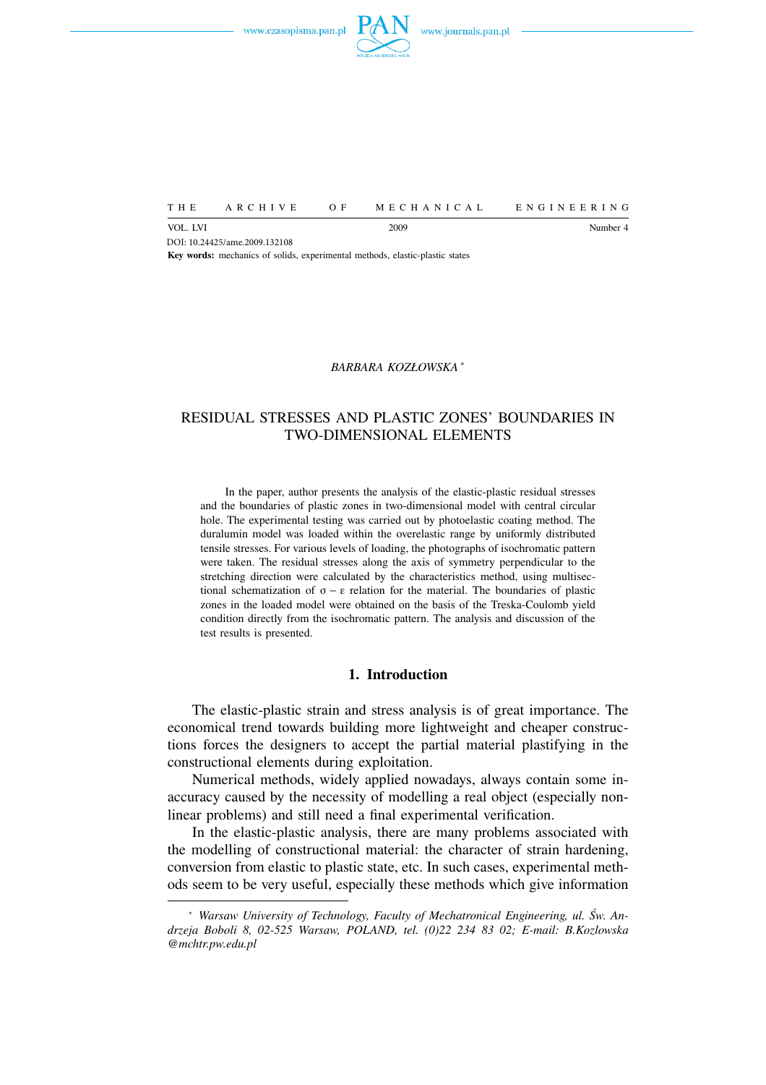



VOL. LVI Number 4 DOI: 10.24425/ame.2009.132108

**Key words:** mechanics of solids, experimental methods, elastic-plastic states

*BARBARA KOZŁOWSKA* <sup>∗</sup>

# RESIDUAL STRESSES AND PLASTIC ZONES' BOUNDARIES IN TWO-DIMENSIONAL ELEMENTS

In the paper, author presents the analysis of the elastic-plastic residual stresses and the boundaries of plastic zones in two-dimensional model with central circular hole. The experimental testing was carried out by photoelastic coating method. The duralumin model was loaded within the overelastic range by uniformly distributed tensile stresses. For various levels of loading, the photographs of isochromatic pattern were taken. The residual stresses along the axis of symmetry perpendicular to the stretching direction were calculated by the characteristics method, using multisectional schematization of  $\sigma - \varepsilon$  relation for the material. The boundaries of plastic zones in the loaded model were obtained on the basis of the Treska-Coulomb yield condition directly from the isochromatic pattern. The analysis and discussion of the test results is presented.

# **1. Introduction**

The elastic-plastic strain and stress analysis is of great importance. The economical trend towards building more lightweight and cheaper constructions forces the designers to accept the partial material plastifying in the constructional elements during exploitation.

Numerical methods, widely applied nowadays, always contain some inaccuracy caused by the necessity of modelling a real object (especially nonlinear problems) and still need a final experimental verification.

In the elastic-plastic analysis, there are many problems associated with the modelling of constructional material: the character of strain hardening, conversion from elastic to plastic state, etc. In such cases, experimental methods seem to be very useful, especially these methods which give information

<sup>∗</sup> *Warsaw University of Technology, Faculty of Mechatronical Engineering, ul. Św. Andrzeja Boboli 8, 02-525 Warsaw, POLAND, tel. (0)22 234 83 02; E-mail: B.Kozlowska @mchtr.pw.edu.pl*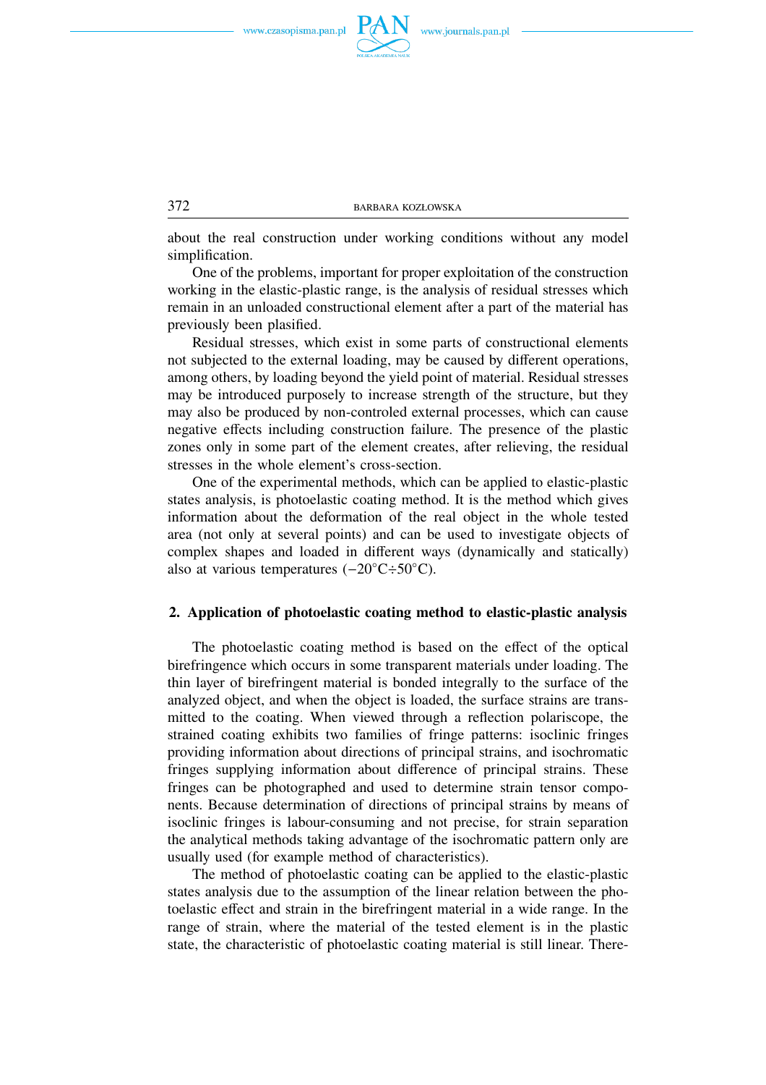

372 BARBARA KOZŁOWSKA

about the real construction under working conditions without any model simplification.

One of the problems, important for proper exploitation of the construction working in the elastic-plastic range, is the analysis of residual stresses which remain in an unloaded constructional element after a part of the material has previously been plasified.

Residual stresses, which exist in some parts of constructional elements not subjected to the external loading, may be caused by different operations, among others, by loading beyond the yield point of material. Residual stresses may be introduced purposely to increase strength of the structure, but they may also be produced by non-controled external processes, which can cause negative effects including construction failure. The presence of the plastic zones only in some part of the element creates, after relieving, the residual stresses in the whole element's cross-section.

One of the experimental methods, which can be applied to elastic-plastic states analysis, is photoelastic coating method. It is the method which gives information about the deformation of the real object in the whole tested area (not only at several points) and can be used to investigate objects of complex shapes and loaded in different ways (dynamically and statically) also at various temperatures (−20◦C÷50◦C).

### **2. Application of photoelastic coating method to elastic-plastic analysis**

The photoelastic coating method is based on the effect of the optical birefringence which occurs in some transparent materials under loading. The thin layer of birefringent material is bonded integrally to the surface of the analyzed object, and when the object is loaded, the surface strains are transmitted to the coating. When viewed through a reflection polariscope, the strained coating exhibits two families of fringe patterns: isoclinic fringes providing information about directions of principal strains, and isochromatic fringes supplying information about difference of principal strains. These fringes can be photographed and used to determine strain tensor components. Because determination of directions of principal strains by means of isoclinic fringes is labour-consuming and not precise, for strain separation the analytical methods taking advantage of the isochromatic pattern only are usually used (for example method of characteristics).

The method of photoelastic coating can be applied to the elastic-plastic states analysis due to the assumption of the linear relation between the photoelastic effect and strain in the birefringent material in a wide range. In the range of strain, where the material of the tested element is in the plastic state, the characteristic of photoelastic coating material is still linear. There-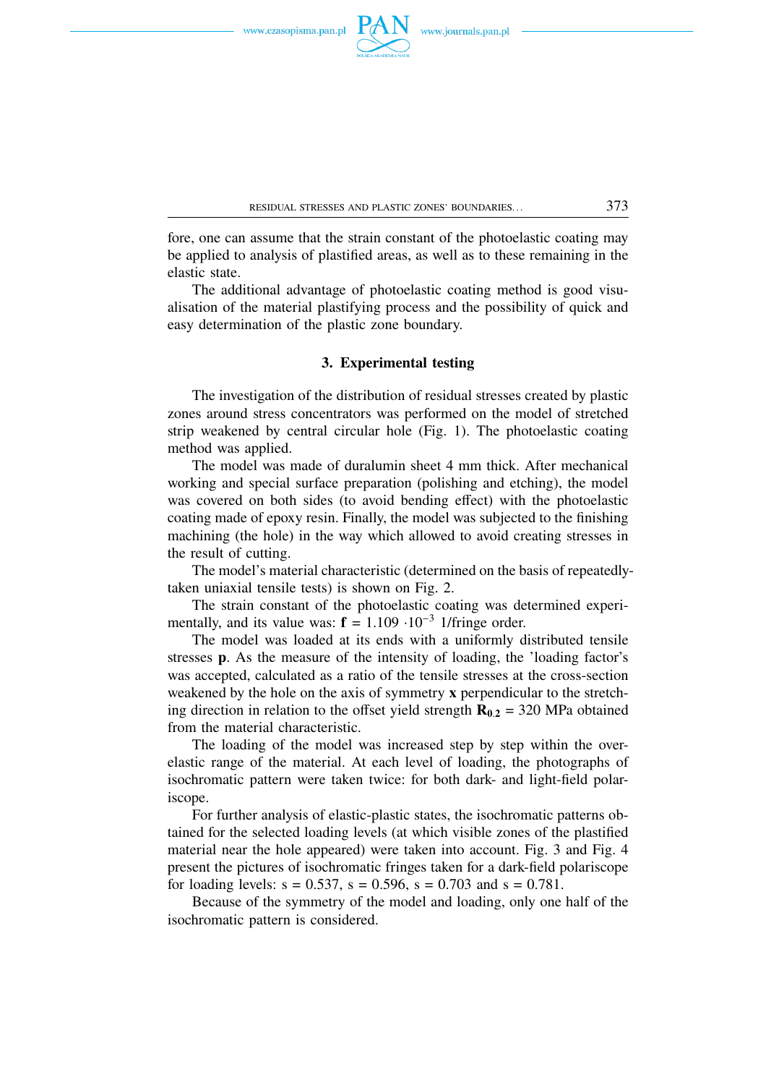

fore, one can assume that the strain constant of the photoelastic coating may be applied to analysis of plastified areas, as well as to these remaining in the elastic state.

The additional advantage of photoelastic coating method is good visualisation of the material plastifying process and the possibility of quick and easy determination of the plastic zone boundary.

#### **3. Experimental testing**

The investigation of the distribution of residual stresses created by plastic zones around stress concentrators was performed on the model of stretched strip weakened by central circular hole (Fig. 1). The photoelastic coating method was applied.

The model was made of duralumin sheet 4 mm thick. After mechanical working and special surface preparation (polishing and etching), the model was covered on both sides (to avoid bending effect) with the photoelastic coating made of epoxy resin. Finally, the model was subjected to the finishing machining (the hole) in the way which allowed to avoid creating stresses in the result of cutting.

The model's material characteristic (determined on the basis of repeatedlytaken uniaxial tensile tests) is shown on Fig. 2.

The strain constant of the photoelastic coating was determined experimentally, and its value was:  $\mathbf{f} = 1.109 \cdot 10^{-3}$  1/fringe order.

The model was loaded at its ends with a uniformly distributed tensile stresses **p**. As the measure of the intensity of loading, the 'loading factor's was accepted, calculated as a ratio of the tensile stresses at the cross-section weakened by the hole on the axis of symmetry **x** perpendicular to the stretching direction in relation to the offset yield strength  $\mathbf{R}_{0,2} = 320$  MPa obtained from the material characteristic.

The loading of the model was increased step by step within the overelastic range of the material. At each level of loading, the photographs of isochromatic pattern were taken twice: for both dark- and light-field polariscope.

For further analysis of elastic-plastic states, the isochromatic patterns obtained for the selected loading levels (at which visible zones of the plastified material near the hole appeared) were taken into account. Fig. 3 and Fig. 4 present the pictures of isochromatic fringes taken for a dark-field polariscope for loading levels:  $s = 0.537$ ,  $s = 0.596$ ,  $s = 0.703$  and  $s = 0.781$ .

Because of the symmetry of the model and loading, only one half of the isochromatic pattern is considered.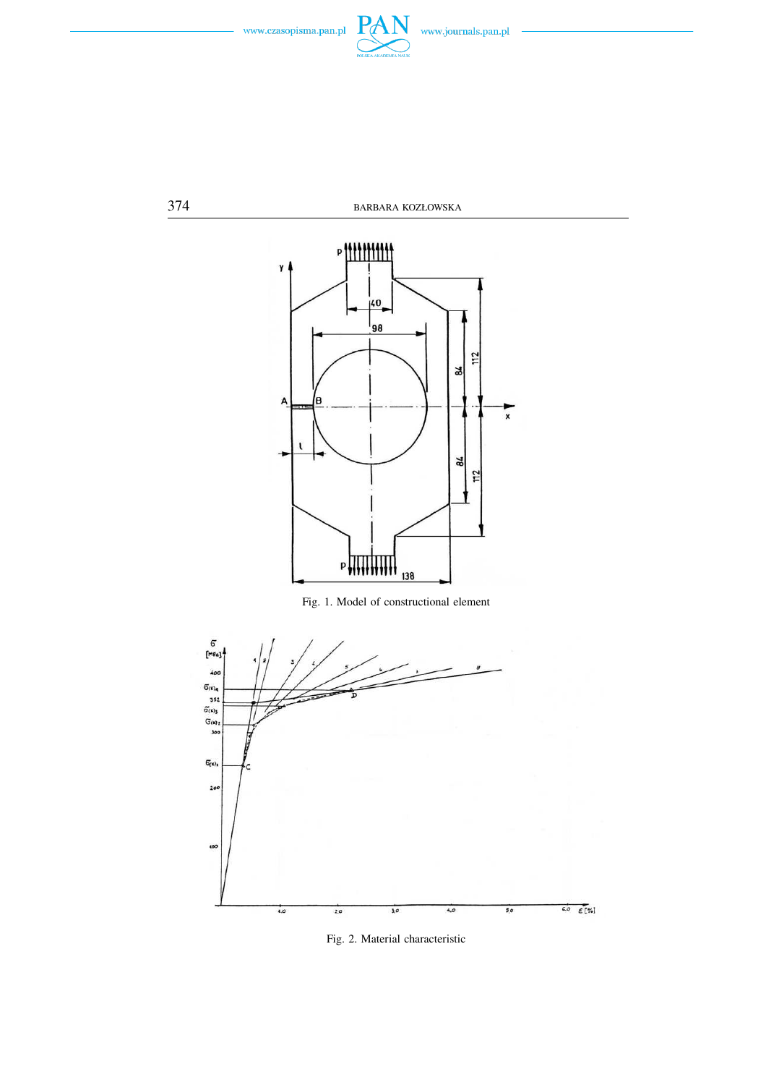







Fig. 2. Material characteristic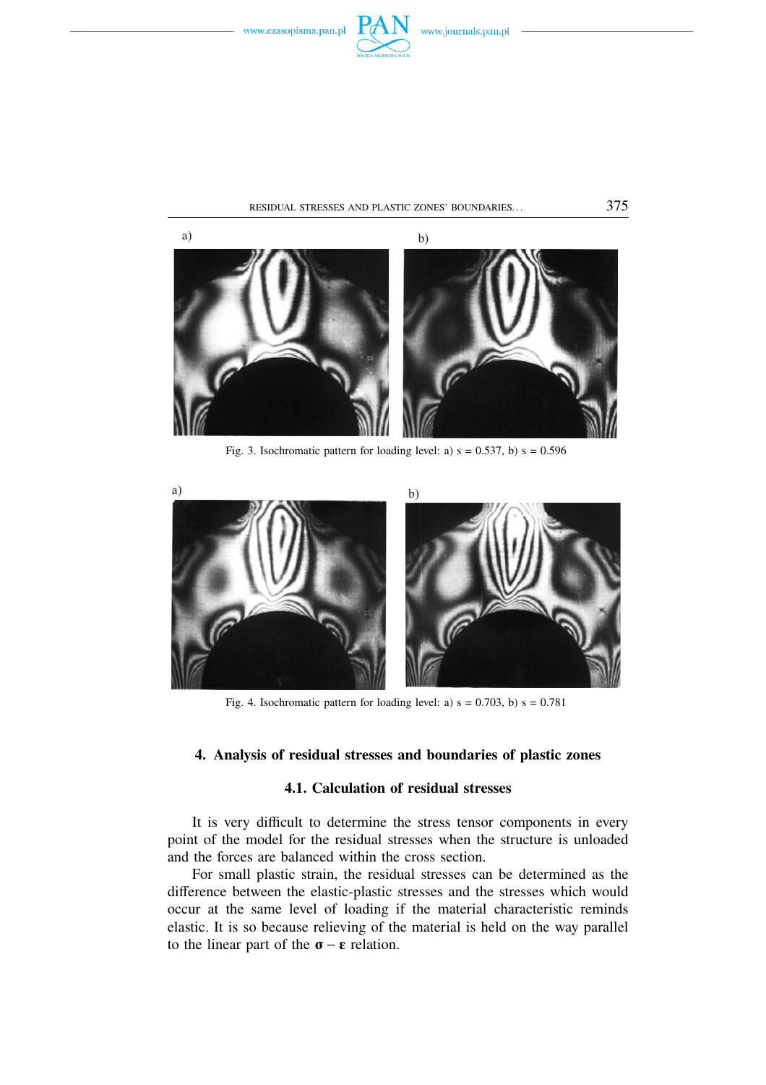



RESIDUAL STRESSES AND PLASTIC ZONES' BOUNDARIES... 375



Fig. 3. Isochromatic pattern for loading level: a)  $s = 0.537$ , b)  $s = 0.596$ 



Fig. 4. Isochromatic pattern for loading level: a)  $s = 0.703$ , b)  $s = 0.781$ 

## **4. Analysis of residual stresses and boundaries of plastic zones**

### **4.1. Calculation of residual stresses**

It is very difficult to determine the stress tensor components in every point of the model for the residual stresses when the structure is unloaded and the forces are balanced within the cross section.

For small plastic strain, the residual stresses can be determined as the difference between the elastic-plastic stresses and the stresses which would occur at the same level of loading if the material characteristic reminds elastic. It is so because relieving of the material is held on the way parallel to the linear part of the  $\sigma - \varepsilon$  relation.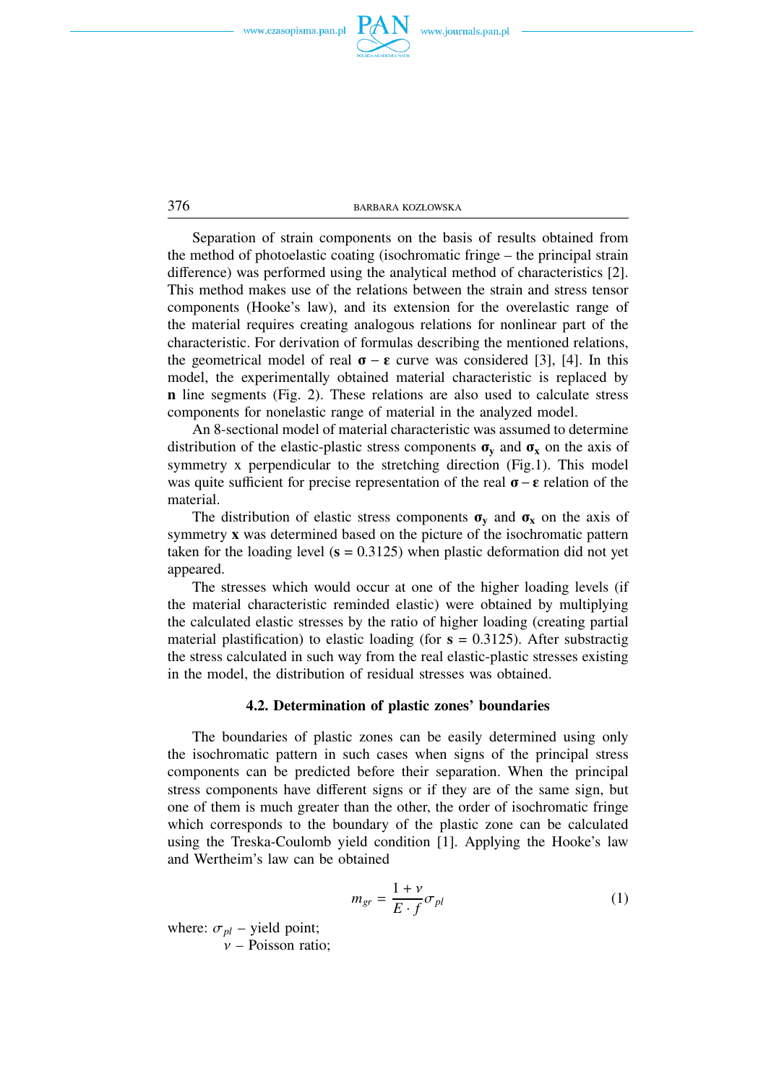

# 376 BARBARA KOZŁOWSKA

Separation of strain components on the basis of results obtained from the method of photoelastic coating (isochromatic fringe – the principal strain difference) was performed using the analytical method of characteristics [2]. This method makes use of the relations between the strain and stress tensor components (Hooke's law), and its extension for the overelastic range of the material requires creating analogous relations for nonlinear part of the characteristic. For derivation of formulas describing the mentioned relations, the geometrical model of real  $\sigma - \varepsilon$  curve was considered [3], [4]. In this model, the experimentally obtained material characteristic is replaced by **n** line segments (Fig. 2). These relations are also used to calculate stress components for nonelastic range of material in the analyzed model.

An 8-sectional model of material characteristic was assumed to determine distribution of the elastic-plastic stress components  $\sigma_y$  and  $\sigma_x$  on the axis of symmetry x perpendicular to the stretching direction (Fig.1). This model was quite sufficient for precise representation of the real  $\sigma - \varepsilon$  relation of the material.

The distribution of elastic stress components  $\sigma_y$  and  $\sigma_x$  on the axis of symmetry **x** was determined based on the picture of the isochromatic pattern taken for the loading level  $(s = 0.3125)$  when plastic deformation did not yet appeared.

The stresses which would occur at one of the higher loading levels (if the material characteristic reminded elastic) were obtained by multiplying the calculated elastic stresses by the ratio of higher loading (creating partial material plastification) to elastic loading (for **s** = 0.3125). After substractig the stress calculated in such way from the real elastic-plastic stresses existing in the model, the distribution of residual stresses was obtained.

### **4.2. Determination of plastic zones' boundaries**

The boundaries of plastic zones can be easily determined using only the isochromatic pattern in such cases when signs of the principal stress components can be predicted before their separation. When the principal stress components have different signs or if they are of the same sign, but one of them is much greater than the other, the order of isochromatic fringe which corresponds to the boundary of the plastic zone can be calculated using the Treska-Coulomb yield condition [1]. Applying the Hooke's law and Wertheim's law can be obtained

$$
m_{gr} = \frac{1+\nu}{E \cdot f} \sigma_{pl} \tag{1}
$$

where:  $\sigma_{pl}$  – yield point;

 $v$  – Poisson ratio;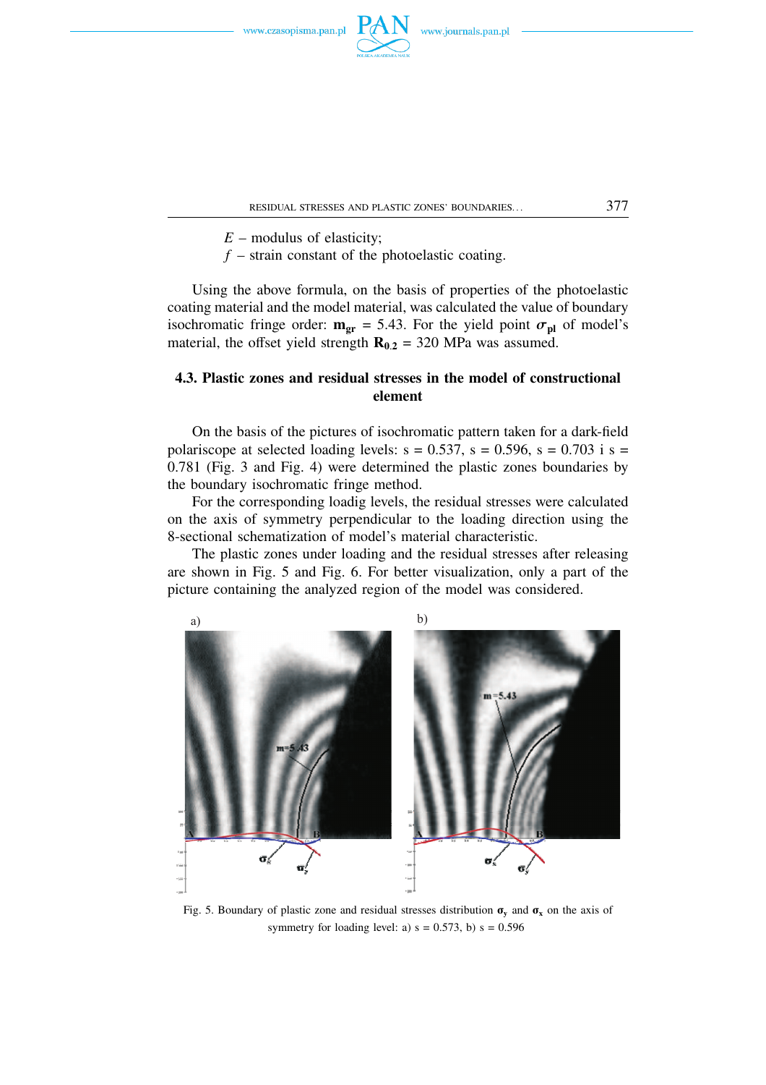

*E* – modulus of elasticity;

 $f$  – strain constant of the photoelastic coating.

Using the above formula, on the basis of properties of the photoelastic coating material and the model material, was calculated the value of boundary isochromatic fringe order:  $m_{gr} = 5.43$ . For the yield point  $\sigma_{pl}$  of model's material, the offset yield strength  $\mathbf{R}_{0.2} = 320$  MPa was assumed.

# **4.3. Plastic zones and residual stresses in the model of constructional element**

On the basis of the pictures of isochromatic pattern taken for a dark-field polariscope at selected loading levels:  $s = 0.537$ ,  $s = 0.596$ ,  $s = 0.703$  i s = 0.781 (Fig. 3 and Fig. 4) were determined the plastic zones boundaries by the boundary isochromatic fringe method.

For the corresponding loadig levels, the residual stresses were calculated on the axis of symmetry perpendicular to the loading direction using the 8-sectional schematization of model's material characteristic.

The plastic zones under loading and the residual stresses after releasing are shown in Fig. 5 and Fig. 6. For better visualization, only a part of the picture containing the analyzed region of the model was considered.



Fig. 5. Boundary of plastic zone and residual stresses distribution  $\sigma_v$  and  $\sigma_x$  on the axis of symmetry for loading level: a)  $s = 0.573$ , b)  $s = 0.596$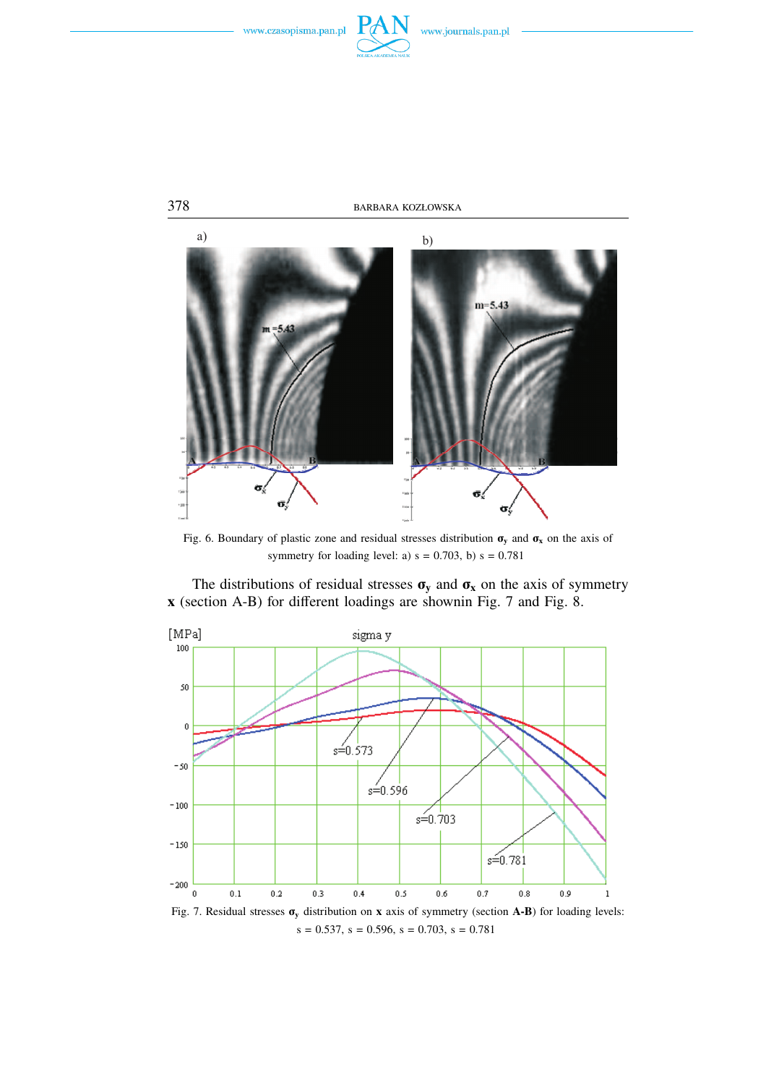





Fig. 6. Boundary of plastic zone and residual stresses distribution  $\sigma_y$  and  $\sigma_x$  on the axis of symmetry for loading level: a)  $s = 0.703$ , b)  $s = 0.781$ 

The distributions of residual stresses  $\sigma_y$  and  $\sigma_x$  on the axis of symmetry **x** (section A-B) for different loadings are shownin Fig. 7 and Fig. 8.

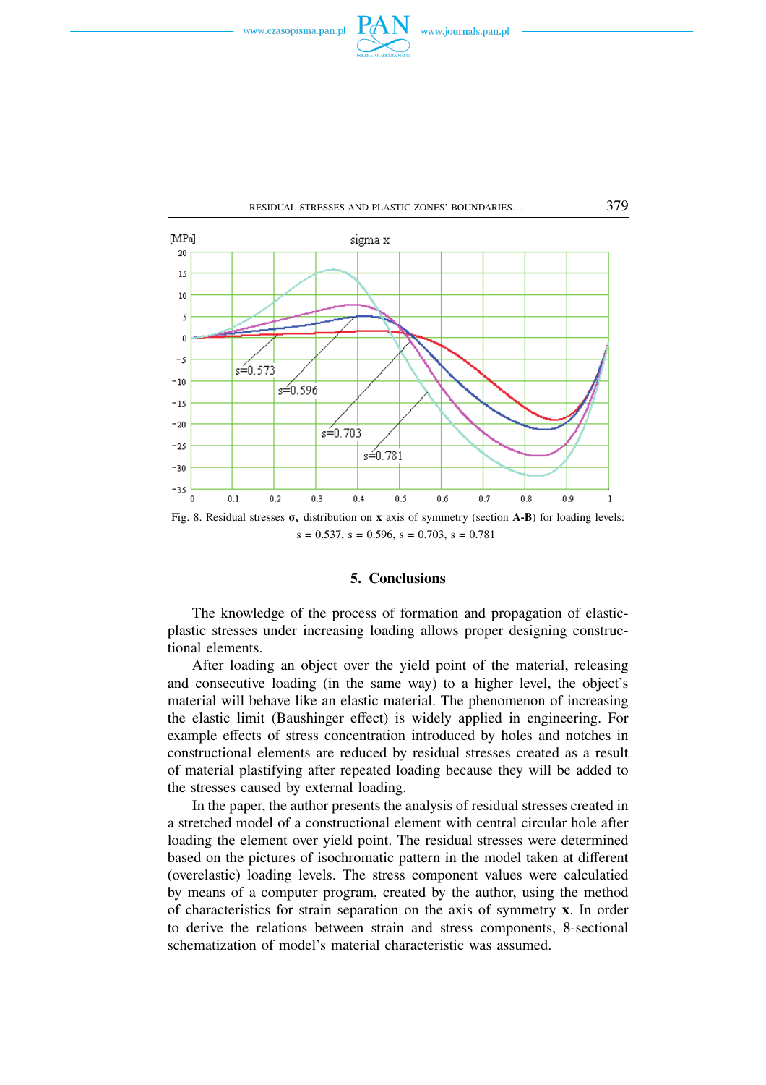



#### RESIDUAL STRESSES AND PLASTIC ZONES' BOUNDARIES... 379



#### **5. Conclusions**

The knowledge of the process of formation and propagation of elasticplastic stresses under increasing loading allows proper designing constructional elements.

After loading an object over the yield point of the material, releasing and consecutive loading (in the same way) to a higher level, the object's material will behave like an elastic material. The phenomenon of increasing the elastic limit (Baushinger effect) is widely applied in engineering. For example effects of stress concentration introduced by holes and notches in constructional elements are reduced by residual stresses created as a result of material plastifying after repeated loading because they will be added to the stresses caused by external loading.

In the paper, the author presents the analysis of residual stresses created in a stretched model of a constructional element with central circular hole after loading the element over yield point. The residual stresses were determined based on the pictures of isochromatic pattern in the model taken at different (overelastic) loading levels. The stress component values were calculatied by means of a computer program, created by the author, using the method of characteristics for strain separation on the axis of symmetry **x**. In order to derive the relations between strain and stress components, 8-sectional schematization of model's material characteristic was assumed.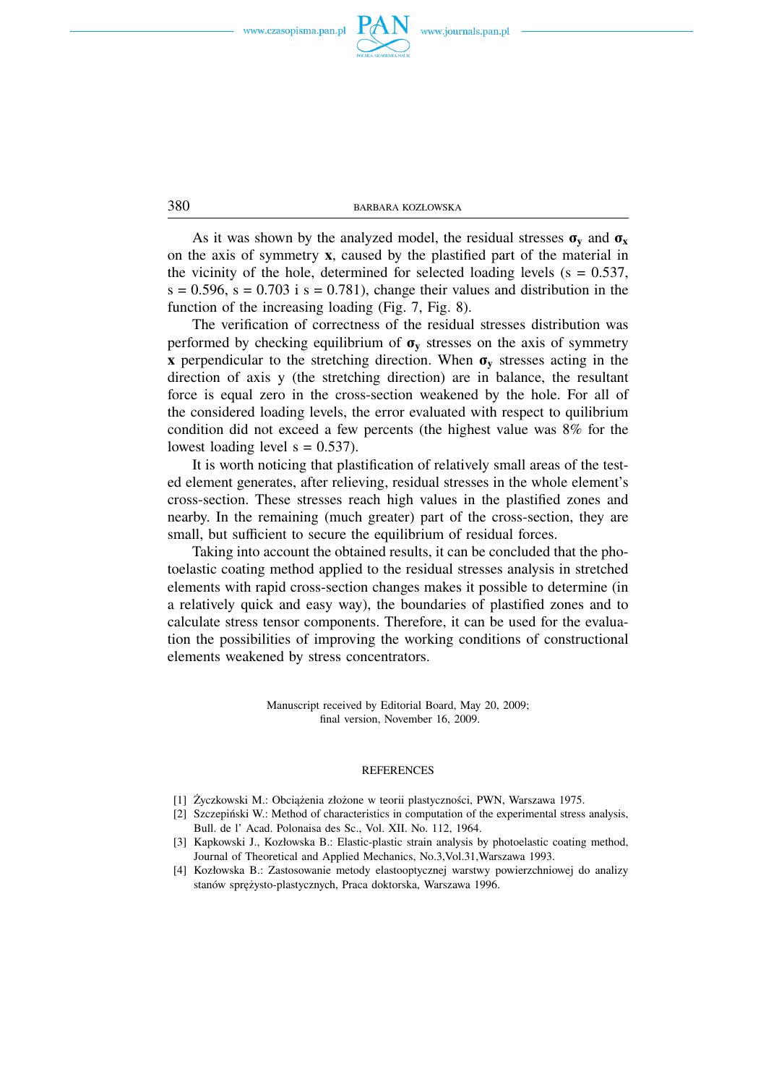

380 BARBARA KOZŁOWSKA

As it was shown by the analyzed model, the residual stresses  $\sigma_y$  and  $\sigma_x$ on the axis of symmetry **x**, caused by the plastified part of the material in the vicinity of the hole, determined for selected loading levels ( $s = 0.537$ ,  $s = 0.596$ ,  $s = 0.703$  i  $s = 0.781$ , change their values and distribution in the function of the increasing loading (Fig. 7, Fig. 8).

The verification of correctness of the residual stresses distribution was performed by checking equilibrium of  $\sigma_v$  stresses on the axis of symmetry **x** perpendicular to the stretching direction. When  $\sigma_v$  stresses acting in the direction of axis y (the stretching direction) are in balance, the resultant force is equal zero in the cross-section weakened by the hole. For all of the considered loading levels, the error evaluated with respect to quilibrium condition did not exceed a few percents (the highest value was 8% for the lowest loading level  $s = 0.537$ .

It is worth noticing that plastification of relatively small areas of the tested element generates, after relieving, residual stresses in the whole element's cross-section. These stresses reach high values in the plastified zones and nearby. In the remaining (much greater) part of the cross-section, they are small, but sufficient to secure the equilibrium of residual forces.

Taking into account the obtained results, it can be concluded that the photoelastic coating method applied to the residual stresses analysis in stretched elements with rapid cross-section changes makes it possible to determine (in a relatively quick and easy way), the boundaries of plastified zones and to calculate stress tensor components. Therefore, it can be used for the evaluation the possibilities of improving the working conditions of constructional elements weakened by stress concentrators.

> Manuscript received by Editorial Board, May 20, 2009; final version, November 16, 2009.

#### **REFERENCES**

- [1] Życzkowski M.: Obciążenia złożone w teorii plastyczności, PWN, Warszawa 1975.
- [2] Szczepiński W.: Method of characteristics in computation of the experimental stress analysis, Bull. de l' Acad. Polonaisa des Sc., Vol. XII. No. 112, 1964.
- [3] Kapkowski J., Kozłowska B.: Elastic-plastic strain analysis by photoelastic coating method, Journal of Theoretical and Applied Mechanics, No.3,Vol.31,Warszawa 1993.
- [4] Kozłowska B.: Zastosowanie metody elastooptycznej warstwy powierzchniowej do analizy stanów sprężysto-plastycznych, Praca doktorska, Warszawa 1996.